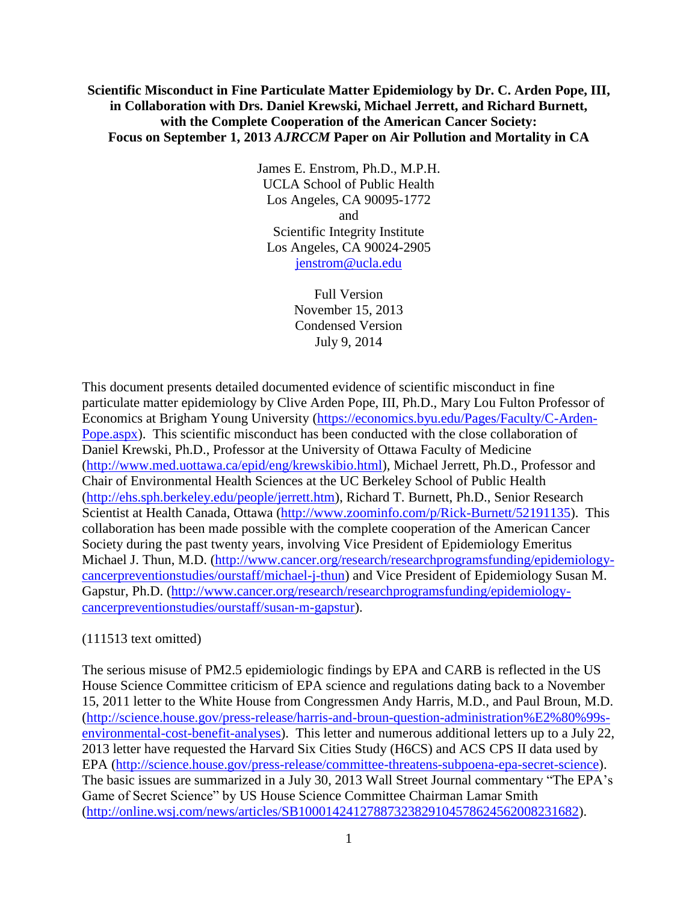**Scientific Misconduct in Fine Particulate Matter Epidemiology by Dr. C. Arden Pope, III, in Collaboration with Drs. Daniel Krewski, Michael Jerrett, and Richard Burnett, with the Complete Cooperation of the American Cancer Society: Focus on September 1, 2013** *AJRCCM* **Paper on Air Pollution and Mortality in CA**

> James E. Enstrom, Ph.D., M.P.H. UCLA School of Public Health Los Angeles, CA 90095-1772 and Scientific Integrity Institute Los Angeles, CA 90024-2905 [jenstrom@ucla.edu](mailto:jenstrom@ucla.edu)

> > Full Version November 15, 2013 Condensed Version July 9, 2014

This document presents detailed documented evidence of scientific misconduct in fine particulate matter epidemiology by Clive Arden Pope, III, Ph.D., Mary Lou Fulton Professor of Economics at Brigham Young University [\(https://economics.byu.edu/Pages/Faculty/C-Arden-](https://economics.byu.edu/Pages/Faculty/C-Arden-Pope.aspx)[Pope.aspx\)](https://economics.byu.edu/Pages/Faculty/C-Arden-Pope.aspx). This scientific misconduct has been conducted with the close collaboration of Daniel Krewski, Ph.D., Professor at the University of Ottawa Faculty of Medicine [\(http://www.med.uottawa.ca/epid/eng/krewskibio.html\)](http://www.med.uottawa.ca/epid/eng/krewskibio.html), Michael Jerrett, Ph.D., Professor and Chair of Environmental Health Sciences at the UC Berkeley School of Public Health [\(http://ehs.sph.berkeley.edu/people/jerrett.htm\)](http://ehs.sph.berkeley.edu/people/jerrett.htm), Richard T. Burnett, Ph.D., Senior Research Scientist at Health Canada, Ottawa [\(http://www.zoominfo.com/p/Rick-Burnett/52191135\)](http://www.zoominfo.com/p/Rick-Burnett/52191135). This collaboration has been made possible with the complete cooperation of the American Cancer Society during the past twenty years, involving Vice President of Epidemiology Emeritus Michael J. Thun, M.D. [\(http://www.cancer.org/research/researchprogramsfunding/epidemiology](http://www.cancer.org/research/researchprogramsfunding/epidemiology-cancerpreventionstudies/ourstaff/michael-j-thun)[cancerpreventionstudies/ourstaff/michael-j-thun\)](http://www.cancer.org/research/researchprogramsfunding/epidemiology-cancerpreventionstudies/ourstaff/michael-j-thun) and Vice President of Epidemiology Susan M. Gapstur, Ph.D. [\(http://www.cancer.org/research/researchprogramsfunding/epidemiology](http://www.cancer.org/research/researchprogramsfunding/epidemiology-cancerpreventionstudies/ourstaff/susan-m-gapstur)[cancerpreventionstudies/ourstaff/susan-m-gapstur\)](http://www.cancer.org/research/researchprogramsfunding/epidemiology-cancerpreventionstudies/ourstaff/susan-m-gapstur).

## (111513 text omitted)

The serious misuse of PM2.5 epidemiologic findings by EPA and CARB is reflected in the US House Science Committee criticism of EPA science and regulations dating back to a November 15, 2011 letter to the White House from Congressmen Andy Harris, M.D., and Paul Broun, M.D. [\(http://science.house.gov/press-release/harris-and-broun-question-administration%E2%80%99s](http://science.house.gov/press-release/harris-and-broun-question-administration%E2%80%99s-environmental-cost-benefit-analyses)[environmental-cost-benefit-analyses\)](http://science.house.gov/press-release/harris-and-broun-question-administration%E2%80%99s-environmental-cost-benefit-analyses). This letter and numerous additional letters up to a July 22, 2013 letter have requested the Harvard Six Cities Study (H6CS) and ACS CPS II data used by EPA [\(http://science.house.gov/press-release/committee-threatens-subpoena-epa-secret-science\)](http://science.house.gov/press-release/committee-threatens-subpoena-epa-secret-science). The basic issues are summarized in a July 30, 2013 Wall Street Journal commentary "The EPA's Game of Secret Science" by US House Science Committee Chairman Lamar Smith [\(http://online.wsj.com/news/articles/SB10001424127887323829104578624562008231682\)](http://online.wsj.com/news/articles/SB10001424127887323829104578624562008231682).